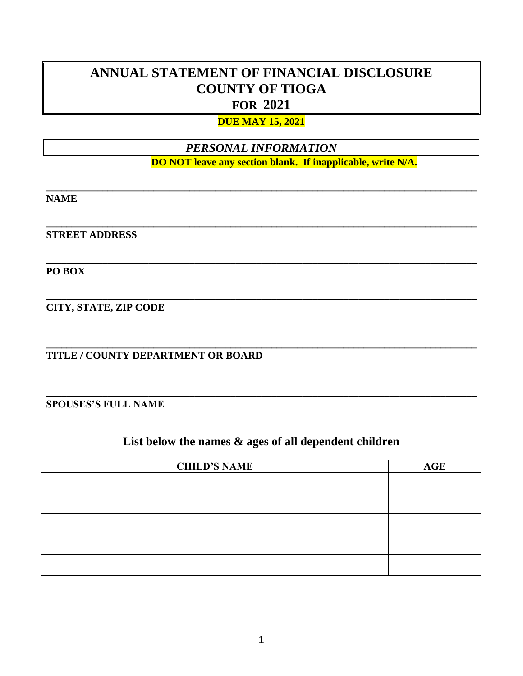# **ANNUAL STATEMENT OF FINANCIAL DISCLOSURE COUNTY OF TIOGA FOR 2021**

#### **DUE MAY 15, 2021**

## *PERSONAL INFORMATION*

**\_\_\_\_\_\_\_\_\_\_\_\_\_\_\_\_\_\_\_\_\_\_\_\_\_\_\_\_\_\_\_\_\_\_\_\_\_\_\_\_\_\_\_\_\_\_\_\_\_\_\_\_\_\_\_\_\_\_\_\_\_\_\_\_\_\_\_\_\_\_\_\_\_\_\_\_\_\_\_\_\_\_\_\_**

**\_\_\_\_\_\_\_\_\_\_\_\_\_\_\_\_\_\_\_\_\_\_\_\_\_\_\_\_\_\_\_\_\_\_\_\_\_\_\_\_\_\_\_\_\_\_\_\_\_\_\_\_\_\_\_\_\_\_\_\_\_\_\_\_\_\_\_\_\_\_\_\_\_\_\_\_\_\_\_\_\_\_\_\_**

**\_\_\_\_\_\_\_\_\_\_\_\_\_\_\_\_\_\_\_\_\_\_\_\_\_\_\_\_\_\_\_\_\_\_\_\_\_\_\_\_\_\_\_\_\_\_\_\_\_\_\_\_\_\_\_\_\_\_\_\_\_\_\_\_\_\_\_\_\_\_\_\_\_\_\_\_\_\_\_\_\_\_\_\_**

**\_\_\_\_\_\_\_\_\_\_\_\_\_\_\_\_\_\_\_\_\_\_\_\_\_\_\_\_\_\_\_\_\_\_\_\_\_\_\_\_\_\_\_\_\_\_\_\_\_\_\_\_\_\_\_\_\_\_\_\_\_\_\_\_\_\_\_\_\_\_\_\_\_\_\_\_\_\_\_\_\_\_\_\_**

**\_\_\_\_\_\_\_\_\_\_\_\_\_\_\_\_\_\_\_\_\_\_\_\_\_\_\_\_\_\_\_\_\_\_\_\_\_\_\_\_\_\_\_\_\_\_\_\_\_\_\_\_\_\_\_\_\_\_\_\_\_\_\_\_\_\_\_\_\_\_\_\_\_\_\_\_\_\_\_\_\_\_\_\_**

**\_\_\_\_\_\_\_\_\_\_\_\_\_\_\_\_\_\_\_\_\_\_\_\_\_\_\_\_\_\_\_\_\_\_\_\_\_\_\_\_\_\_\_\_\_\_\_\_\_\_\_\_\_\_\_\_\_\_\_\_\_\_\_\_\_\_\_\_\_\_\_\_\_\_\_\_\_\_\_\_\_\_\_\_**

#### **DO NOT leave any section blank. If inapplicable, write N/A.**

**NAME**

**STREET ADDRESS**

**PO BOX**

**CITY, STATE, ZIP CODE**

**TITLE / COUNTY DEPARTMENT OR BOARD**

**SPOUSES'S FULL NAME**

### **List below the names & ages of all dependent children**

| <b>CHILD'S NAME</b> | AGE |
|---------------------|-----|
|                     |     |
|                     |     |
|                     |     |
|                     |     |
|                     |     |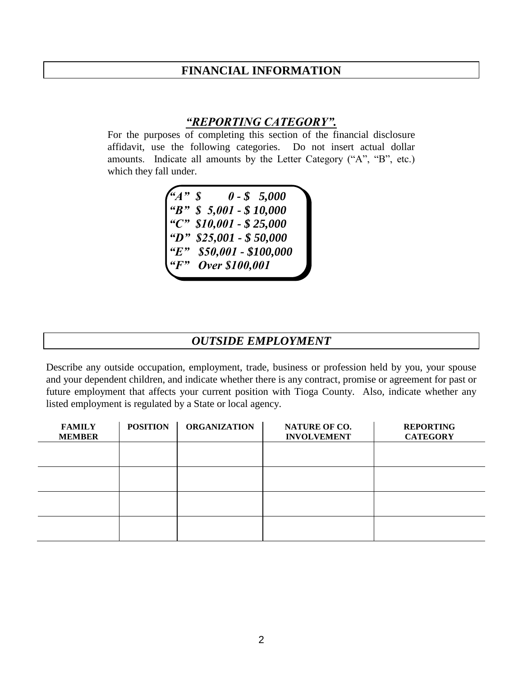#### **FINANCIAL INFORMATION**

### *"REPORTING CATEGORY".*

For the purposes of completing this section of the financial disclosure affidavit, use the following categories. Do not insert actual dollar amounts. Indicate all amounts by the Letter Category ("A", "B", etc.) which they fall under.

> *"A" \$ 0 - \$ 5,000 "B" \$ 5,001 - \$ 10,000 "C" \$10,001 - \$ 25,000 "D" \$25,001 - \$ 50,000 "E" \$50,001 - \$100,000 "F" Over \$100,001*

#### *OUTSIDE EMPLOYMENT*

Describe any outside occupation, employment, trade, business or profession held by you, your spouse and your dependent children, and indicate whether there is any contract, promise or agreement for past or future employment that affects your current position with Tioga County. Also, indicate whether any listed employment is regulated by a State or local agency.

| <b>FAMILY</b><br><b>MEMBER</b> | <b>POSITION</b> | <b>ORGANIZATION</b> | <b>NATURE OF CO.</b><br><b>INVOLVEMENT</b> | <b>REPORTING</b><br><b>CATEGORY</b> |
|--------------------------------|-----------------|---------------------|--------------------------------------------|-------------------------------------|
|                                |                 |                     |                                            |                                     |
|                                |                 |                     |                                            |                                     |
|                                |                 |                     |                                            |                                     |
|                                |                 |                     |                                            |                                     |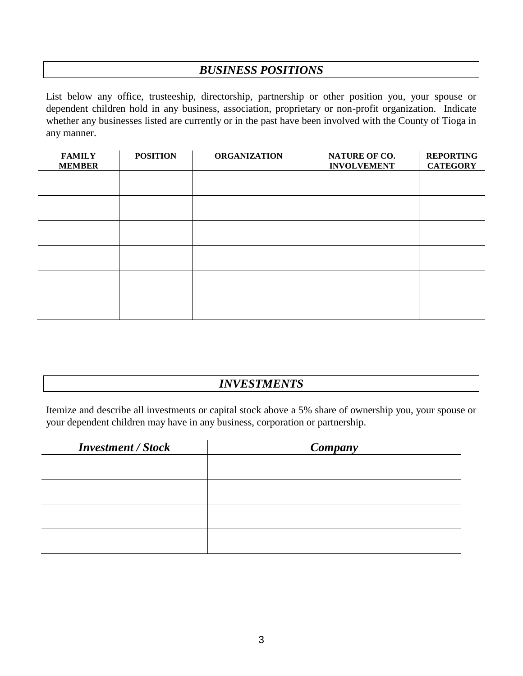### *BUSINESS POSITIONS*

List below any office, trusteeship, directorship, partnership or other position you, your spouse or dependent children hold in any business, association, proprietary or non-profit organization. Indicate whether any businesses listed are currently or in the past have been involved with the County of Tioga in any manner.

| <b>FAMILY</b><br><b>MEMBER</b> | <b>POSITION</b> | <b>ORGANIZATION</b> | NATURE OF CO.<br><b>INVOLVEMENT</b> | <b>REPORTING</b><br><b>CATEGORY</b> |
|--------------------------------|-----------------|---------------------|-------------------------------------|-------------------------------------|
|                                |                 |                     |                                     |                                     |
|                                |                 |                     |                                     |                                     |
|                                |                 |                     |                                     |                                     |
|                                |                 |                     |                                     |                                     |
|                                |                 |                     |                                     |                                     |
|                                |                 |                     |                                     |                                     |

## *INVESTMENTS*

Itemize and describe all investments or capital stock above a 5% share of ownership you, your spouse or your dependent children may have in any business, corporation or partnership.

| <b>Investment / Stock</b> | Company |
|---------------------------|---------|
|                           |         |
|                           |         |
|                           |         |
|                           |         |
|                           |         |
|                           |         |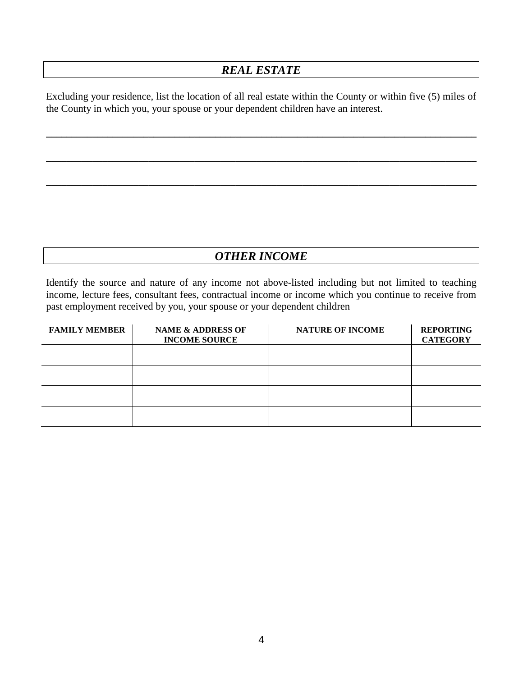## *REAL ESTATE*

Excluding your residence, list the location of all real estate within the County or within five (5) miles of the County in which you, your spouse or your dependent children have an interest.

**\_\_\_\_\_\_\_\_\_\_\_\_\_\_\_\_\_\_\_\_\_\_\_\_\_\_\_\_\_\_\_\_\_\_\_\_\_\_\_\_\_\_\_\_\_\_\_\_\_\_\_\_\_\_\_\_\_\_\_\_\_\_\_\_\_\_\_\_\_\_\_\_\_\_\_\_\_\_\_\_\_\_\_\_**

**\_\_\_\_\_\_\_\_\_\_\_\_\_\_\_\_\_\_\_\_\_\_\_\_\_\_\_\_\_\_\_\_\_\_\_\_\_\_\_\_\_\_\_\_\_\_\_\_\_\_\_\_\_\_\_\_\_\_\_\_\_\_\_\_\_\_\_\_\_\_\_\_\_\_\_\_\_\_\_\_\_\_\_\_**

**\_\_\_\_\_\_\_\_\_\_\_\_\_\_\_\_\_\_\_\_\_\_\_\_\_\_\_\_\_\_\_\_\_\_\_\_\_\_\_\_\_\_\_\_\_\_\_\_\_\_\_\_\_\_\_\_\_\_\_\_\_\_\_\_\_\_\_\_\_\_\_\_\_\_\_\_\_\_\_\_\_\_\_\_**

## *OTHER INCOME*

Identify the source and nature of any income not above-listed including but not limited to teaching income, lecture fees, consultant fees, contractual income or income which you continue to receive from past employment received by you, your spouse or your dependent children

| <b>FAMILY MEMBER</b> | <b>NAME &amp; ADDRESS OF</b><br><b>INCOME SOURCE</b> | <b>NATURE OF INCOME</b> | <b>REPORTING</b><br><b>CATEGORY</b> |
|----------------------|------------------------------------------------------|-------------------------|-------------------------------------|
|                      |                                                      |                         |                                     |
|                      |                                                      |                         |                                     |
|                      |                                                      |                         |                                     |
|                      |                                                      |                         |                                     |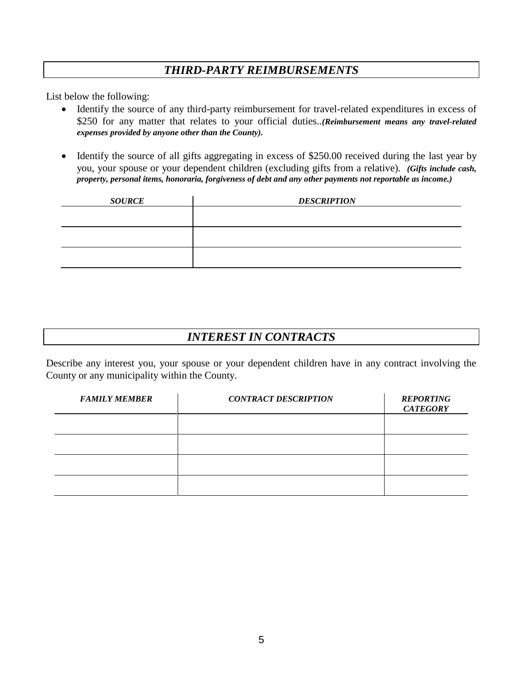## *THIRD-PARTY REIMBURSEMENTS*

List below the following:

- Identify the source of any third-party reimbursement for travel-related expenditures in excess of \$250 for any matter that relates to your official duties..*(Reimbursement means any travel-related expenses provided by anyone other than the County).*
- Identify the source of all gifts aggregating in excess of \$250.00 received during the last year by you, your spouse or your dependent children (excluding gifts from a relative). *(Gifts include cash, property, personal items, honoraria, forgiveness of debt and any other payments not reportable as income.)*

| <b>SOURCE</b> | <b>DESCRIPTION</b> |
|---------------|--------------------|
|               |                    |
|               |                    |
|               |                    |
|               |                    |
|               |                    |
|               |                    |

## *INTEREST IN CONTRACTS*

Describe any interest you, your spouse or your dependent children have in any contract involving the County or any municipality within the County.

| <b>FAMILY MEMBER</b> | <b>CONTRACT DESCRIPTION</b> | <b>REPORTING</b><br><b>CATEGORY</b> |
|----------------------|-----------------------------|-------------------------------------|
|                      |                             |                                     |
|                      |                             |                                     |
|                      |                             |                                     |
|                      |                             |                                     |